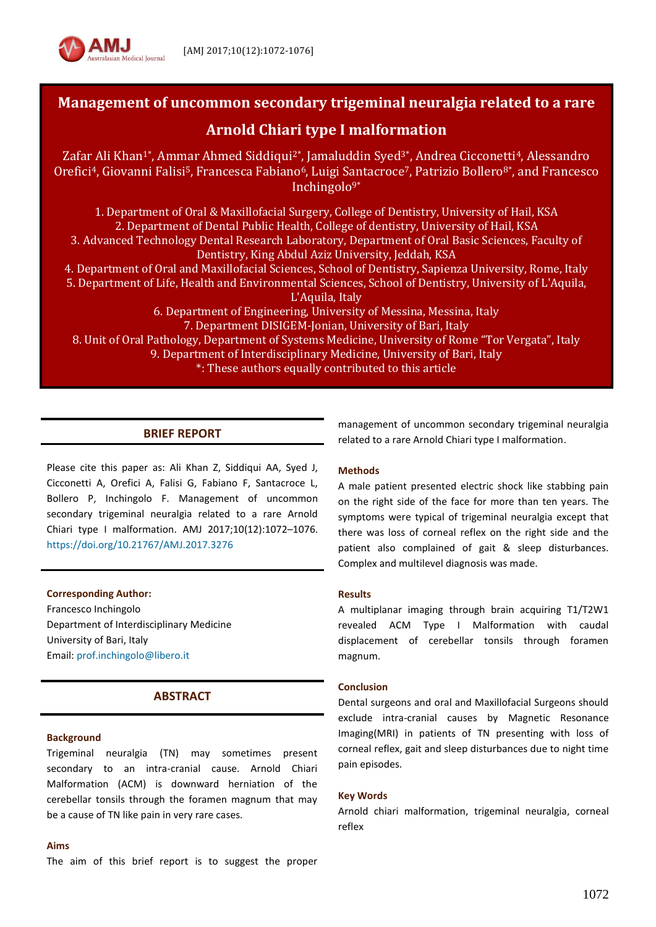

# **Management of uncommon secondary trigeminal neuralgia related to a rare**

# **Arnold Chiari type I malformation**

Zafar Ali Khan<sup>1\*</sup>, Ammar Ahmed Siddiqui<sup>2\*</sup>, Jamaluddin Syed<sup>3\*</sup>, Andrea Cicconetti<sup>4</sup>, Alessandro Orefici<sup>4</sup>, Giovanni Falisi<sup>5</sup>, Francesca Fabiano<sup>6</sup>, Luigi Santacroce<sup>7</sup>, Patrizio Bollero<sup>8\*</sup>, and Francesco Inchingolo $9*$ 

1. Department of Oral & Maxillofacial Surgery, College of Dentistry, University of Hail, KSA 2. Department of Dental Public Health, College of dentistry, University of Hail, KSA 3. Advanced Technology Dental Research Laboratory, Department of Oral Basic Sciences, Faculty of Dentistry, King Abdul Aziz University, Jeddah, KSA 4. Department of Oral and Maxillofacial Sciences, School of Dentistry, Sapienza University, Rome, Italy 5. Department of Life, Health and Environmental Sciences, School of Dentistry, University of L'Aquila, L'Aquila, Italy 6. Department of Engineering, University of Messina, Messina, Italy 7. Department DISIGEM-Jonian, University of Bari, Italy 8. Unit of Oral Pathology, Department of Systems Medicine, University of Rome "Tor Vergata", Italy 9. Department of Interdisciplinary Medicine, University of Bari, Italy \*: These authors equally contributed to this article

# **BRIEF REPORT**

Please cite this paper as: Ali Khan Z, Siddiqui AA, Syed J, Cicconetti A, Orefici A, Falisi G, Fabiano F, Santacroce L, Bollero P, Inchingolo F. Management of uncommon secondary trigeminal neuralgia related to a rare Arnold Chiari type I malformation. AMJ 2017;10(12):1072–1076. <https://doi.org/10.21767/AMJ.2017.3276>

**Corresponding Author:**

Francesco Inchingolo Department of Interdisciplinary Medicine University of Bari, Italy Email[: prof.inchingolo@libero.it](mailto:prof.inchingolo@libero.it)

# **ABSTRACT**

### **Background**

Trigeminal neuralgia (TN) may sometimes present secondary to an intra-cranial cause. Arnold Chiari Malformation (ACM) is downward herniation of the cerebellar tonsils through the foramen magnum that may be a cause of TN like pain in very rare cases.

#### **Aims**

The aim of this brief report is to suggest the proper

management of uncommon secondary trigeminal neuralgia related to a rare Arnold Chiari type I malformation.

### **Methods**

A male patient presented electric shock like stabbing pain on the right side of the face for more than ten years. The symptoms were typical of trigeminal neuralgia except that there was loss of corneal reflex on the right side and the patient also complained of gait & sleep disturbances. Complex and multilevel diagnosis was made.

#### **Results**

A multiplanar imaging through brain acquiring T1/T2W1 revealed ACM Type I Malformation with caudal displacement of cerebellar tonsils through foramen magnum.

#### **Conclusion**

Dental surgeons and oral and Maxillofacial Surgeons should exclude intra-cranial causes by Magnetic Resonance Imaging(MRI) in patients of TN presenting with loss of corneal reflex, gait and sleep disturbances due to night time pain episodes.

#### **Key Words**

Arnold chiari malformation, trigeminal neuralgia, corneal reflex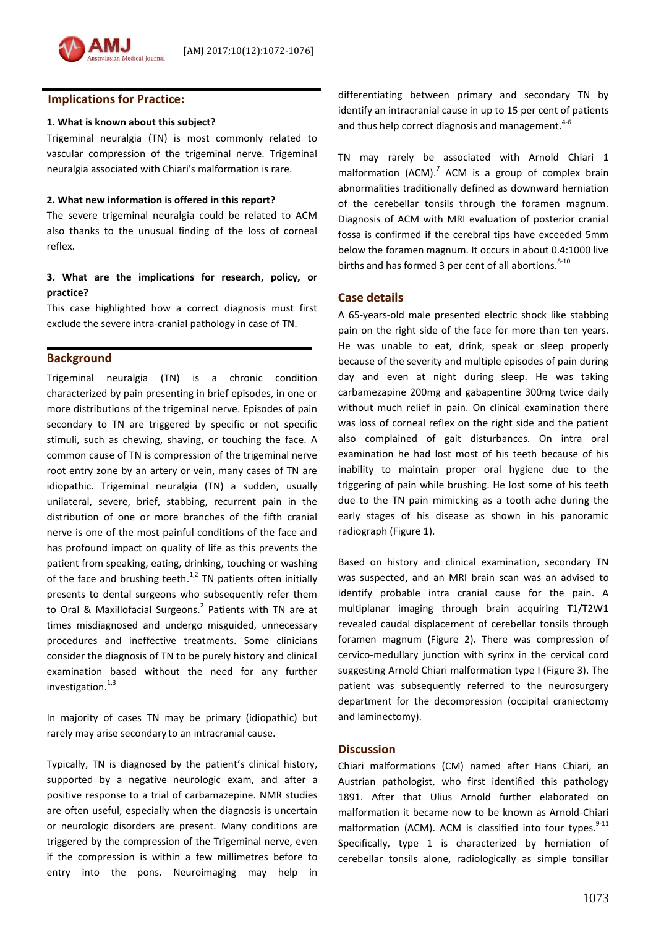## **Implications for Practice:**

### **1. What is known about this subject?**

Trigeminal neuralgia (TN) is most commonly related to vascular compression of the trigeminal nerve. Trigeminal neuralgia associated with Chiari's malformation is rare.

### **2. What new information is offered in this report?**

The severe trigeminal neuralgia could be related to ACM also thanks to the unusual finding of the loss of corneal reflex.

# **3. What are the implications for research, policy, or practice?**

This case highlighted how a correct diagnosis must first exclude the severe intra-cranial pathology in case of TN.

### **Background**

Trigeminal neuralgia (TN) is a chronic condition characterized by pain presenting in brief episodes, in one or more distributions of the trigeminal nerve. Episodes of pain secondary to TN are triggered by specific or not specific stimuli, such as chewing, shaving, or touching the face. A common cause of TN is compression of the trigeminal nerve root entry zone by an artery or vein, many cases of TN are idiopathic. Trigeminal neuralgia (TN) a sudden, usually unilateral, severe, brief, stabbing, recurrent pain in the distribution of one or more branches of the fifth cranial nerve is one of the most painful conditions of the face and has profound impact on quality of life as this prevents the patient from speaking, eating, drinking, touching or washing of the face and brushing teeth. $1,2}$  TN patients often initially presents to dental surgeons who subsequently refer them to Oral & Maxillofacial Surgeons.<sup>2</sup> Patients with TN are at times misdiagnosed and undergo misguided, unnecessary procedures and ineffective treatments. Some clinicians consider the diagnosis of TN to be purely history and clinical examination based without the need for any further investigation.<sup>1,3</sup>

In majority of cases TN may be primary (idiopathic) but rarely may arise secondary to an intracranial cause.

Typically, TN is diagnosed by the patient's clinical history, supported by a negative neurologic exam, and after a positive response to a trial of carbamazepine. NMR studies are often useful, especially when the diagnosis is uncertain or neurologic disorders are present. Many conditions are triggered by the compression of the Trigeminal nerve, even if the compression is within a few millimetres before to entry into the pons. Neuroimaging may help in

differentiating between primary and secondary TN by identify an intracranial cause in up to 15 per cent of patients and thus help correct diagnosis and management.<sup>4-6</sup>

TN may rarely be associated with Arnold Chiari 1 malformation (ACM).<sup>7</sup> ACM is a group of complex brain abnormalities traditionally defined as downward herniation of the cerebellar tonsils through the foramen magnum. Diagnosis of ACM with MRI evaluation of posterior cranial fossa is confirmed if the cerebral tips have exceeded 5mm below the foramen magnum. It occurs in about 0.4:1000 live births and has formed 3 per cent of all abortions.<sup>8-10</sup>

### **Case details**

A 65-years-old male presented electric shock like stabbing pain on the right side of the face for more than ten years. He was unable to eat, drink, speak or sleep properly because of the severity and multiple episodes of pain during day and even at night during sleep. He was taking carbamezapine 200mg and gabapentine 300mg twice daily without much relief in pain. On clinical examination there was loss of corneal reflex on the right side and the patient also complained of gait disturbances. On intra oral examination he had lost most of his teeth because of his inability to maintain proper oral hygiene due to the triggering of pain while brushing. He lost some of his teeth due to the TN pain mimicking as a tooth ache during the early stages of his disease as shown in his panoramic radiograph (Figure 1).

Based on history and clinical examination, secondary TN was suspected, and an MRI brain scan was an advised to identify probable intra cranial cause for the pain. A multiplanar imaging through brain acquiring T1/T2W1 revealed caudal displacement of cerebellar tonsils through foramen magnum (Figure 2). There was compression of cervico-medullary junction with syrinx in the cervical cord suggesting Arnold Chiari malformation type I (Figure 3). The patient was subsequently referred to the neurosurgery department for the decompression (occipital craniectomy and laminectomy).

### **Discussion**

Chiari malformations (CM) named after Hans Chiari, an Austrian pathologist, who first identified this pathology 1891. After that Ulius Arnold further elaborated on malformation it became now to be known as Arnold-Chiari malformation (ACM). ACM is classified into four types.<sup>9-11</sup> Specifically, type 1 is characterized by herniation of cerebellar tonsils alone, radiologically as simple tonsillar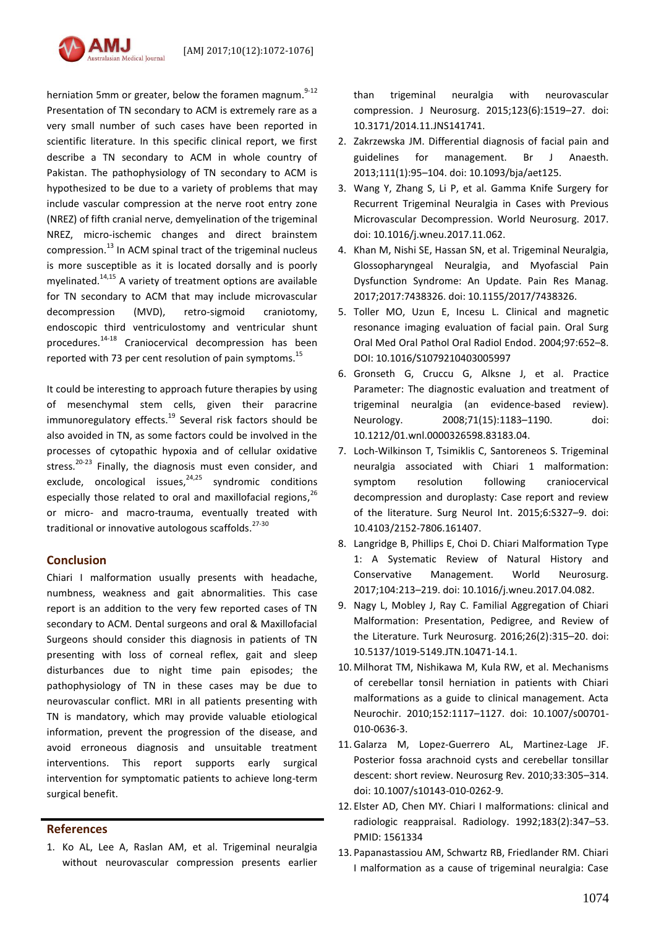

herniation 5mm or greater, below the foramen magnum.<sup>9-12</sup> Presentation of TN secondary to ACM is extremely rare as a very small number of such cases have been reported in scientific literature. In this specific clinical report, we first describe a TN secondary to ACM in whole country of Pakistan. The pathophysiology of TN secondary to ACM is hypothesized to be due to a variety of problems that may include vascular compression at the nerve root entry zone (NREZ) of fifth cranial nerve, demyelination of the trigeminal NREZ, micro-ischemic changes and direct brainstem compression.<sup>13</sup> In ACM spinal tract of the trigeminal nucleus is more susceptible as it is located dorsally and is poorly myelinated. 14,15 A variety of treatment options are available for TN secondary to ACM that may include microvascular decompression (MVD), retro-sigmoid craniotomy, endoscopic third ventriculostomy and ventricular shunt procedures. 14-18 Craniocervical decompression has been reported with 73 per cent resolution of pain symptoms.<sup>15</sup>

It could be interesting to approach future therapies by using of mesenchymal stem cells, given their paracrine immunoregulatory effects.<sup>19</sup> Several risk factors should be also avoided in TN, as some factors could be involved in the processes of cytopathic hypoxia and of cellular oxidative stress.<sup>20-23</sup> Finally, the diagnosis must even consider, and exclude, oncological issues,<sup>24,25</sup> syndromic conditions especially those related to oral and maxillofacial regions,<sup>26</sup> or micro- and macro-trauma, eventually treated with traditional or innovative autologous scaffolds. 27-30

## **Conclusion**

Chiari I malformation usually presents with headache, numbness, weakness and gait abnormalities. This case report is an addition to the very few reported cases of TN secondary to ACM. Dental surgeons and oral & Maxillofacial Surgeons should consider this diagnosis in patients of TN presenting with loss of corneal reflex, gait and sleep disturbances due to night time pain episodes; the pathophysiology of TN in these cases may be due to neurovascular conflict. MRI in all patients presenting with TN is mandatory, which may provide valuable etiological information, prevent the progression of the disease, and avoid erroneous diagnosis and unsuitable treatment interventions. This report supports early surgical intervention for symptomatic patients to achieve long-term surgical benefit.

# **References**

1. Ko AL, Lee A, Raslan AM, et al. Trigeminal neuralgia without neurovascular compression presents earlier than trigeminal neuralgia with neurovascular compression. J Neurosurg. 2015;123(6):1519–27. doi: 10.3171/2014.11.JNS141741.

- 2. Zakrzewska JM. Differential diagnosis of facial pain and guidelines for management. Br J Anaesth. 2013;111(1):95–104. doi: 10.1093/bja/aet125.
- 3. Wang Y, Zhang S, Li P, et al. Gamma Knife Surgery for Recurrent Trigeminal Neuralgia in Cases with Previous Microvascular Decompression. World Neurosurg. 2017. doi: 10.1016/j.wneu.2017.11.062.
- 4. Khan M, Nishi SE, Hassan SN, et al. Trigeminal Neuralgia, Glossopharyngeal Neuralgia, and Myofascial Pain Dysfunction Syndrome: An Update. Pain Res Manag. 2017;2017:7438326. doi: 10.1155/2017/7438326.
- 5. Toller MO, Uzun E, Incesu L. Clinical and magnetic resonance imaging evaluation of facial pain. Oral Surg Oral Med Oral Pathol Oral Radiol Endod. 2004;97:652–8. DOI: 10.1016/S1079210403005997
- 6. Gronseth G, Cruccu G, Alksne J, et al. Practice Parameter: The diagnostic evaluation and treatment of trigeminal neuralgia (an evidence-based review). Neurology. 2008;71(15):1183–1190. doi: 10.1212/01.wnl.0000326598.83183.04.
- 7. Loch-Wilkinson T, Tsimiklis C, Santoreneos S. Trigeminal neuralgia associated with Chiari 1 malformation: symptom resolution following craniocervical decompression and duroplasty: Case report and review of the literature. Surg Neurol Int. 2015;6:S327–9. doi: 10.4103/2152-7806.161407.
- 8. Langridge B, Phillips E, Choi D. Chiari Malformation Type 1: A Systematic Review of Natural History and Conservative Management. World Neurosurg. 2017;104:213–219. doi: 10.1016/j.wneu.2017.04.082.
- 9. Nagy L, Mobley J, Ray C. Familial Aggregation of Chiari Malformation: Presentation, Pedigree, and Review of the Literature. Turk Neurosurg. 2016;26(2):315–20. doi: 10.5137/1019-5149.JTN.10471-14.1.
- 10. Milhorat TM, Nishikawa M, Kula RW, et al. Mechanisms of cerebellar tonsil herniation in patients with Chiari malformations as a guide to clinical management. Acta Neurochir. 2010;152:1117–1127. doi: 10.1007/s00701- 010-0636-3.
- 11.Galarza M, Lopez-Guerrero AL, Martinez-Lage JF. Posterior fossa arachnoid cysts and cerebellar tonsillar descent: short review. Neurosurg Rev. 2010;33:305–314. doi: 10.1007/s10143-010-0262-9.
- 12. Elster AD, Chen MY. Chiari I malformations: clinical and radiologic reappraisal. Radiology. 1992;183(2):347–53. PMID: 1561334
- 13. Papanastassiou AM, Schwartz RB, Friedlander RM. Chiari I malformation as a cause of trigeminal neuralgia: Case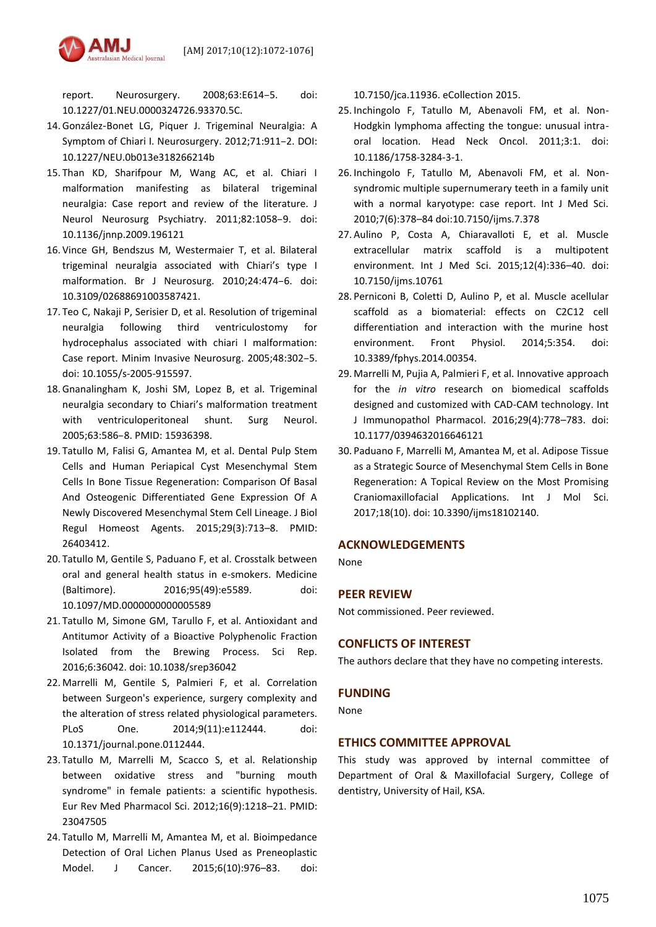

report. Neurosurgery. 2008;63:E614–5. doi: 10.1227/01.NEU.0000324726.93370.5C.

- 14.González-Bonet LG, Piquer J. Trigeminal Neuralgia: A Symptom of Chiari I. Neurosurgery. 2012;71:911–2. DOI: 10.1227/NEU.0b013e318266214b
- 15. Than KD, Sharifpour M, Wang AC, et al. Chiari I malformation manifesting as bilateral trigeminal neuralgia: Case report and review of the literature. J Neurol Neurosurg Psychiatry. 2011;82:1058–9. doi: 10.1136/jnnp.2009.196121
- 16. Vince GH, Bendszus M, Westermaier T, et al. Bilateral trigeminal neuralgia associated with Chiari's type I malformation. Br J Neurosurg. 2010;24:474–6. doi: 10.3109/02688691003587421.
- 17. Teo C, Nakaji P, Serisier D, et al. Resolution of trigeminal neuralgia following third ventriculostomy for hydrocephalus associated with chiari I malformation: Case report. Minim Invasive Neurosurg. 2005;48:302–5. doi: 10.1055/s-2005-915597.
- 18.Gnanalingham K, Joshi SM, Lopez B, et al. Trigeminal neuralgia secondary to Chiari's malformation treatment with ventriculoperitoneal shunt. Surg Neurol. 2005;63:586–8. PMID: 15936398.
- 19. Tatullo M, Falisi G, Amantea M, et al. Dental Pulp Stem Cells and Human Periapical Cyst Mesenchymal Stem Cells In Bone Tissue Regeneration: Comparison Of Basal And Osteogenic Differentiated Gene Expression Of A Newly Discovered Mesenchymal Stem Cell Lineage. J Biol Regul Homeost Agents. 2015;29(3):713–8. PMID: 26403412.
- 20. Tatullo M, Gentile S, Paduano F, et al. Crosstalk between oral and general health status in e-smokers. Medicine (Baltimore). 2016;95(49):e5589. doi: 10.1097/MD.0000000000005589
- 21. Tatullo M, Simone GM, Tarullo F, et al. Antioxidant and Antitumor Activity of a Bioactive Polyphenolic Fraction Isolated from the Brewing Process. Sci Rep. 2016;6:36042. doi: 10.1038/srep36042
- 22. Marrelli M, Gentile S, Palmieri F, et al. Correlation between Surgeon's experience, surgery complexity and the alteration of stress related physiological parameters. PLoS One. 2014;9(11):e112444. doi: 10.1371/journal.pone.0112444.
- 23. Tatullo M, Marrelli M, Scacco S, et al. Relationship between oxidative stress and "burning mouth syndrome" in female patients: a scientific hypothesis. Eur Rev Med Pharmacol Sci. 2012;16(9):1218–21. PMID: 23047505
- 24. Tatullo M, Marrelli M, Amantea M, et al. Bioimpedance Detection of Oral Lichen Planus Used as Preneoplastic Model. J Cancer. 2015;6(10):976–83. doi:

10.7150/jca.11936. eCollection 2015.

- 25. Inchingolo F, Tatullo M, Abenavoli FM, et al. Non-Hodgkin lymphoma affecting the tongue: unusual intraoral location. Head Neck Oncol. 2011;3:1. doi: 10.1186/1758-3284-3-1.
- 26. Inchingolo F, Tatullo M, Abenavoli FM, et al. Nonsyndromic multiple supernumerary teeth in a family unit with a normal karyotype: case report. Int J Med Sci. 2010;7(6):378–84 doi:10.7150/ijms.7.378
- 27. Aulino P, Costa A, Chiaravalloti E, et al. Muscle extracellular matrix scaffold is a multipotent environment. Int J Med Sci. 2015;12(4):336–40. doi: 10.7150/ijms.10761
- 28. Perniconi B, Coletti D, Aulino P, et al. Muscle acellular scaffold as a biomaterial: effects on C2C12 cell differentiation and interaction with the murine host environment. Front Physiol. 2014;5:354. doi: 10.3389/fphys.2014.00354.
- 29. Marrelli M, Pujia A, Palmieri F, et al. Innovative approach for the *in vitro* research on biomedical scaffolds designed and customized with CAD-CAM technology. Int J Immunopathol Pharmacol. 2016;29(4):778–783. doi: 10.1177/0394632016646121
- 30. Paduano F, Marrelli M, Amantea M, et al. Adipose Tissue as a Strategic Source of Mesenchymal Stem Cells in Bone Regeneration: A Topical Review on the Most Promising Craniomaxillofacial Applications. Int J Mol Sci. 2017;18(10). doi: 10.3390/ijms18102140.

### **ACKNOWLEDGEMENTS**

None

#### **PEER REVIEW**

Not commissioned. Peer reviewed.

# **CONFLICTS OF INTEREST**

The authors declare that they have no competing interests.

#### **FUNDING**

None

# **ETHICS COMMITTEE APPROVAL**

This study was approved by internal committee of Department of Oral & Maxillofacial Surgery, College of dentistry, University of Hail, KSA.